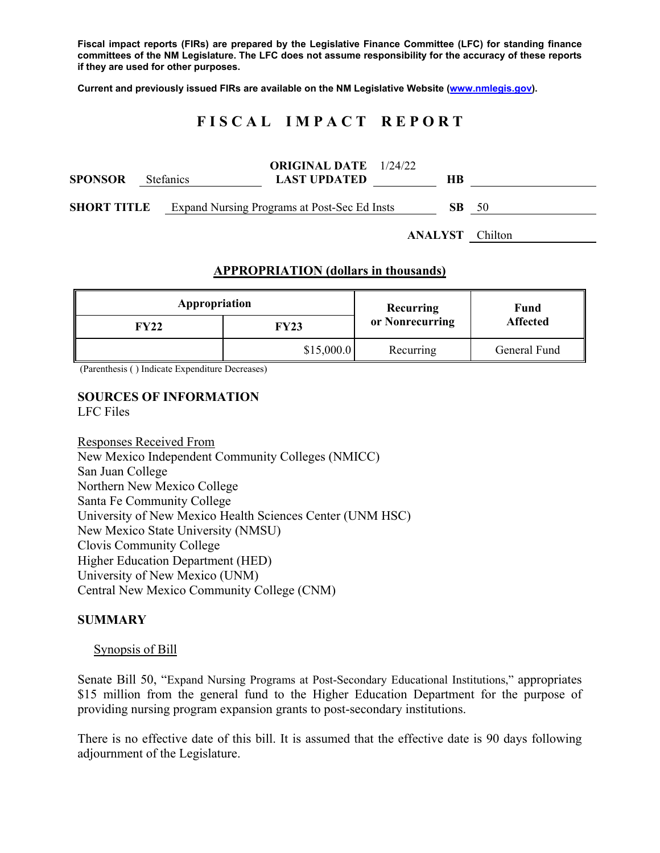**Fiscal impact reports (FIRs) are prepared by the Legislative Finance Committee (LFC) for standing finance committees of the NM Legislature. The LFC does not assume responsibility for the accuracy of these reports if they are used for other purposes.** 

**Current and previously issued FIRs are available on the NM Legislative Website (www.nmlegis.gov).** 

# **F I S C A L I M P A C T R E P O R T**

| <b>SPONSOR</b>     | <b>Stefanics</b> | <b>ORIGINAL DATE</b> 1/24/22<br><b>LAST UPDATED</b> |         | HВ  |         |
|--------------------|------------------|-----------------------------------------------------|---------|-----|---------|
| <b>SHORT TITLE</b> |                  | Expand Nursing Programs at Post-Sec Ed Insts        |         | SB. | - 50    |
|                    |                  |                                                     | ANALYST |     | Chilton |

### **APPROPRIATION (dollars in thousands)**

| Appropriation |             | Recurring       | Fund<br><b>Affected</b> |  |
|---------------|-------------|-----------------|-------------------------|--|
| FY22          | <b>FY23</b> | or Nonrecurring |                         |  |
|               | \$15,000.0  | Recurring       | General Fund            |  |

(Parenthesis ( ) Indicate Expenditure Decreases)

#### **SOURCES OF INFORMATION**  LFC Files

Responses Received From New Mexico Independent Community Colleges (NMICC) San Juan College Northern New Mexico College Santa Fe Community College University of New Mexico Health Sciences Center (UNM HSC) New Mexico State University (NMSU) Clovis Community College Higher Education Department (HED) University of New Mexico (UNM) Central New Mexico Community College (CNM)

#### **SUMMARY**

#### Synopsis of Bill

Senate Bill 50, "Expand Nursing Programs at Post-Secondary Educational Institutions," appropriates \$15 million from the general fund to the Higher Education Department for the purpose of providing nursing program expansion grants to post-secondary institutions.

There is no effective date of this bill. It is assumed that the effective date is 90 days following adjournment of the Legislature.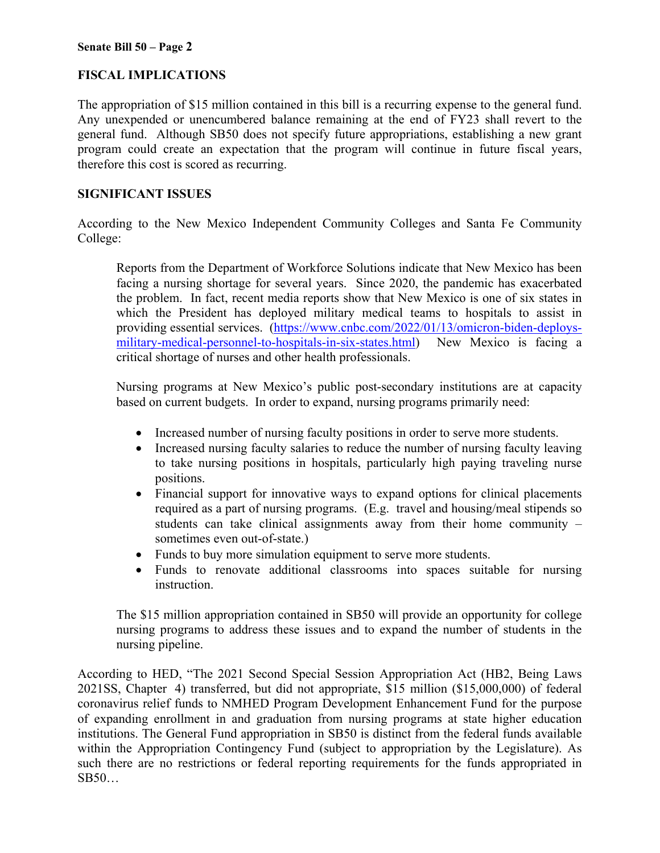## **FISCAL IMPLICATIONS**

The appropriation of \$15 million contained in this bill is a recurring expense to the general fund. Any unexpended or unencumbered balance remaining at the end of FY23 shall revert to the general fund. Although SB50 does not specify future appropriations, establishing a new grant program could create an expectation that the program will continue in future fiscal years, therefore this cost is scored as recurring.

### **SIGNIFICANT ISSUES**

According to the New Mexico Independent Community Colleges and Santa Fe Community College:

Reports from the Department of Workforce Solutions indicate that New Mexico has been facing a nursing shortage for several years. Since 2020, the pandemic has exacerbated the problem. In fact, recent media reports show that New Mexico is one of six states in which the President has deployed military medical teams to hospitals to assist in providing essential services. (https://www.cnbc.com/2022/01/13/omicron-biden-deploysmilitary-medical-personnel-to-hospitals-in-six-states.html) New Mexico is facing a critical shortage of nurses and other health professionals.

Nursing programs at New Mexico's public post-secondary institutions are at capacity based on current budgets. In order to expand, nursing programs primarily need:

- Increased number of nursing faculty positions in order to serve more students.
- Increased nursing faculty salaries to reduce the number of nursing faculty leaving to take nursing positions in hospitals, particularly high paying traveling nurse positions.
- Financial support for innovative ways to expand options for clinical placements required as a part of nursing programs. (E.g. travel and housing/meal stipends so students can take clinical assignments away from their home community – sometimes even out-of-state.)
- Funds to buy more simulation equipment to serve more students.
- Funds to renovate additional classrooms into spaces suitable for nursing instruction.

The \$15 million appropriation contained in SB50 will provide an opportunity for college nursing programs to address these issues and to expand the number of students in the nursing pipeline.

According to HED, "The 2021 Second Special Session Appropriation Act (HB2, Being Laws 2021SS, Chapter 4) transferred, but did not appropriate, \$15 million (\$15,000,000) of federal coronavirus relief funds to NMHED Program Development Enhancement Fund for the purpose of expanding enrollment in and graduation from nursing programs at state higher education institutions. The General Fund appropriation in SB50 is distinct from the federal funds available within the Appropriation Contingency Fund (subject to appropriation by the Legislature). As such there are no restrictions or federal reporting requirements for the funds appropriated in SB50…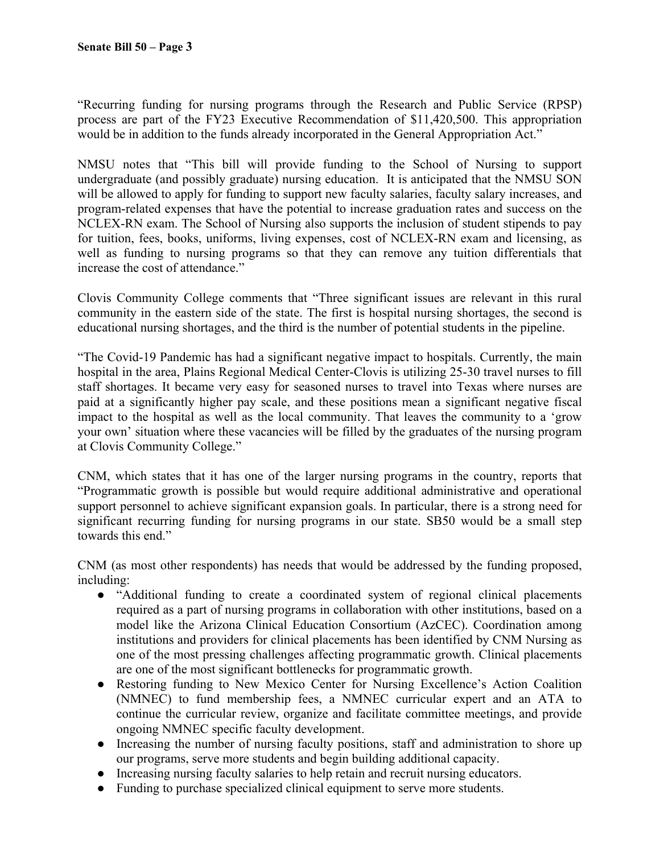"Recurring funding for nursing programs through the Research and Public Service (RPSP) process are part of the FY23 Executive Recommendation of \$11,420,500. This appropriation would be in addition to the funds already incorporated in the General Appropriation Act."

NMSU notes that "This bill will provide funding to the School of Nursing to support undergraduate (and possibly graduate) nursing education. It is anticipated that the NMSU SON will be allowed to apply for funding to support new faculty salaries, faculty salary increases, and program-related expenses that have the potential to increase graduation rates and success on the NCLEX-RN exam. The School of Nursing also supports the inclusion of student stipends to pay for tuition, fees, books, uniforms, living expenses, cost of NCLEX-RN exam and licensing, as well as funding to nursing programs so that they can remove any tuition differentials that increase the cost of attendance."

Clovis Community College comments that "Three significant issues are relevant in this rural community in the eastern side of the state. The first is hospital nursing shortages, the second is educational nursing shortages, and the third is the number of potential students in the pipeline.

"The Covid-19 Pandemic has had a significant negative impact to hospitals. Currently, the main hospital in the area, Plains Regional Medical Center-Clovis is utilizing 25-30 travel nurses to fill staff shortages. It became very easy for seasoned nurses to travel into Texas where nurses are paid at a significantly higher pay scale, and these positions mean a significant negative fiscal impact to the hospital as well as the local community. That leaves the community to a 'grow your own' situation where these vacancies will be filled by the graduates of the nursing program at Clovis Community College."

CNM, which states that it has one of the larger nursing programs in the country, reports that "Programmatic growth is possible but would require additional administrative and operational support personnel to achieve significant expansion goals. In particular, there is a strong need for significant recurring funding for nursing programs in our state. SB50 would be a small step towards this end."

CNM (as most other respondents) has needs that would be addressed by the funding proposed, including:

- "Additional funding to create a coordinated system of regional clinical placements required as a part of nursing programs in collaboration with other institutions, based on a model like the Arizona Clinical Education Consortium (AzCEC). Coordination among institutions and providers for clinical placements has been identified by CNM Nursing as one of the most pressing challenges affecting programmatic growth. Clinical placements are one of the most significant bottlenecks for programmatic growth.
- Restoring funding to New Mexico Center for Nursing Excellence's Action Coalition (NMNEC) to fund membership fees, a NMNEC curricular expert and an ATA to continue the curricular review, organize and facilitate committee meetings, and provide ongoing NMNEC specific faculty development.
- Increasing the number of nursing faculty positions, staff and administration to shore up our programs, serve more students and begin building additional capacity.
- Increasing nursing faculty salaries to help retain and recruit nursing educators.
- Funding to purchase specialized clinical equipment to serve more students.